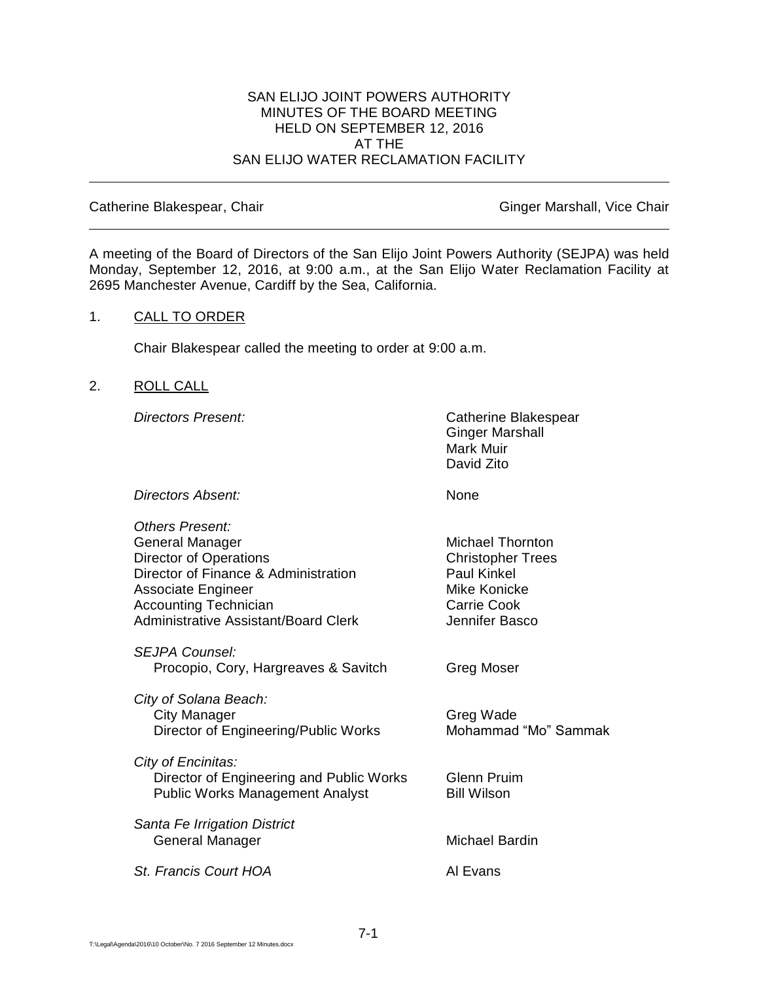### SAN ELIJO JOINT POWERS AUTHORITY MINUTES OF THE BOARD MEETING HELD ON SEPTEMBER 12, 2016 AT THE SAN ELIJO WATER RECLAMATION FACILITY

Catherine Blakespear, Chair Ginger Marshall, Vice Chair Ginger Marshall, Vice Chair

A meeting of the Board of Directors of the San Elijo Joint Powers Authority (SEJPA) was held Monday, September 12, 2016, at 9:00 a.m., at the San Elijo Water Reclamation Facility at 2695 Manchester Avenue, Cardiff by the Sea, California.

### 1. CALL TO ORDER

Chair Blakespear called the meeting to order at 9:00 a.m.

### 2. ROLL CALL

*Directors Present:* Catherine Blakespear Ginger Marshall Mark Muir David Zito

*Directors Absent:* None

| <b>Others Present:</b>                      |                          |
|---------------------------------------------|--------------------------|
| General Manager                             | <b>Michael Thornton</b>  |
| <b>Director of Operations</b>               | <b>Christopher Trees</b> |
| Director of Finance & Administration        | <b>Paul Kinkel</b>       |
| <b>Associate Engineer</b>                   | Mike Konicke             |
| <b>Accounting Technician</b>                | Carrie Cook              |
| <b>Administrative Assistant/Board Clerk</b> | Jennifer Basco           |
| SEJPA Counsel:                              |                          |
| Procopio, Cory, Hargreaves & Savitch        | Greg Moser               |
| City of Solana Beach:                       |                          |
| <b>City Manager</b>                         | Greg Wade                |
| Director of Engineering/Public Works        | Mohammad "Mo" Sammak     |
| City of Encinitas:                          |                          |
| Director of Engineering and Public Works    | <b>Glenn Pruim</b>       |
| <b>Public Works Management Analyst</b>      | <b>Bill Wilson</b>       |
| Santa Fe Irrigation District                |                          |
| General Manager                             | Michael Bardin           |
| St. Francis Court HOA                       | Al Evans                 |
|                                             |                          |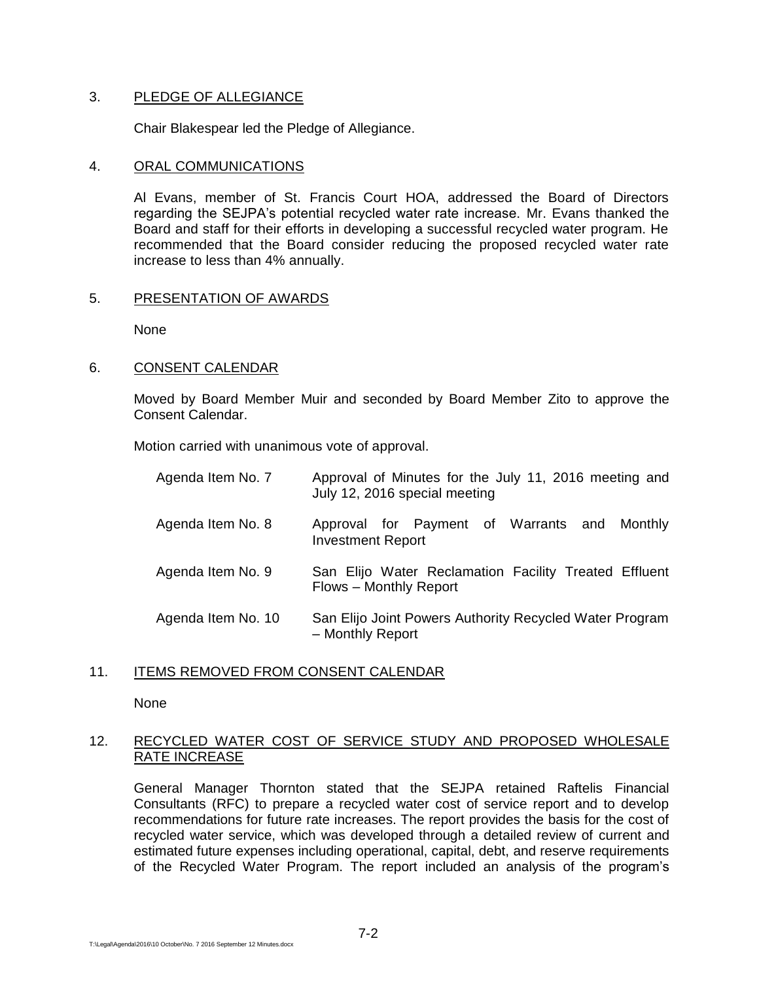### 3. PLEDGE OF ALLEGIANCE

Chair Blakespear led the Pledge of Allegiance.

### 4. ORAL COMMUNICATIONS

Al Evans, member of St. Francis Court HOA, addressed the Board of Directors regarding the SEJPA's potential recycled water rate increase. Mr. Evans thanked the Board and staff for their efforts in developing a successful recycled water program. He recommended that the Board consider reducing the proposed recycled water rate increase to less than 4% annually.

### 5. PRESENTATION OF AWARDS

None

### 6. CONSENT CALENDAR

Moved by Board Member Muir and seconded by Board Member Zito to approve the Consent Calendar.

Motion carried with unanimous vote of approval.

| Agenda Item No. 7  | Approval of Minutes for the July 11, 2016 meeting and<br>July 12, 2016 special meeting |
|--------------------|----------------------------------------------------------------------------------------|
| Agenda Item No. 8  | Approval for Payment of Warrants and Monthly<br><b>Investment Report</b>               |
| Agenda Item No. 9  | San Elijo Water Reclamation Facility Treated Effluent<br>Flows - Monthly Report        |
| Agenda Item No. 10 | San Elijo Joint Powers Authority Recycled Water Program<br>- Monthly Report            |

### 11. ITEMS REMOVED FROM CONSENT CALENDAR

None

# 12. RECYCLED WATER COST OF SERVICE STUDY AND PROPOSED WHOLESALE RATE INCREASE

General Manager Thornton stated that the SEJPA retained Raftelis Financial Consultants (RFC) to prepare a recycled water cost of service report and to develop recommendations for future rate increases. The report provides the basis for the cost of recycled water service, which was developed through a detailed review of current and estimated future expenses including operational, capital, debt, and reserve requirements of the Recycled Water Program. The report included an analysis of the program's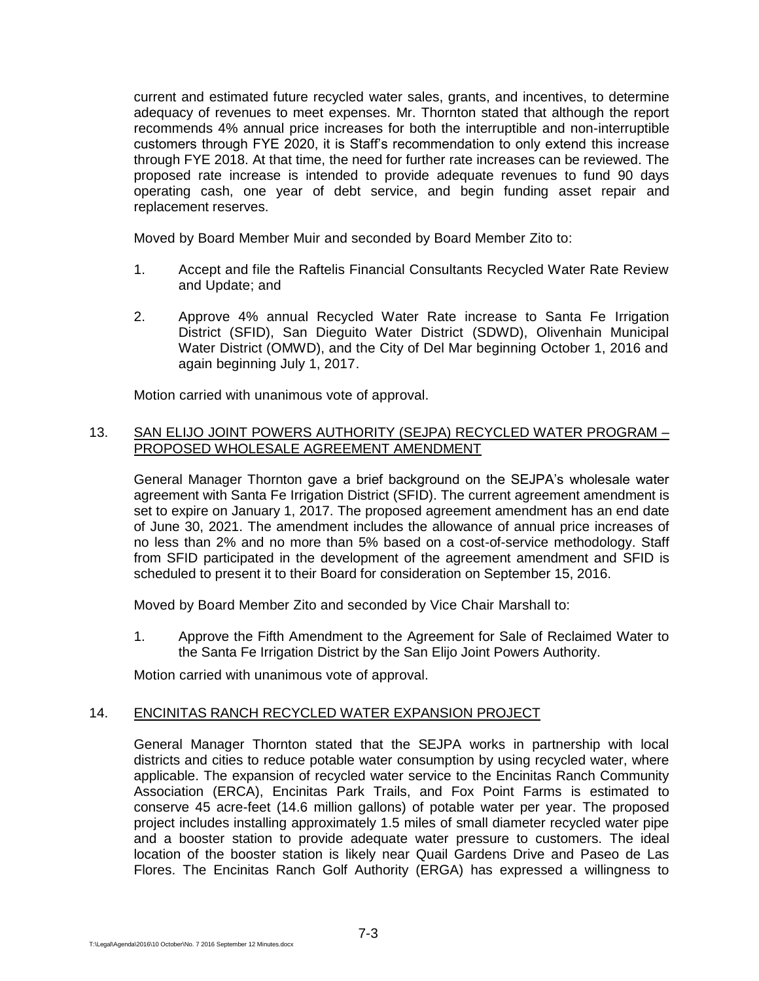current and estimated future recycled water sales, grants, and incentives, to determine adequacy of revenues to meet expenses. Mr. Thornton stated that although the report recommends 4% annual price increases for both the interruptible and non-interruptible customers through FYE 2020, it is Staff's recommendation to only extend this increase through FYE 2018. At that time, the need for further rate increases can be reviewed. The proposed rate increase is intended to provide adequate revenues to fund 90 days operating cash, one year of debt service, and begin funding asset repair and replacement reserves.

Moved by Board Member Muir and seconded by Board Member Zito to:

- 1. Accept and file the Raftelis Financial Consultants Recycled Water Rate Review and Update; and
- 2. Approve 4% annual Recycled Water Rate increase to Santa Fe Irrigation District (SFID), San Dieguito Water District (SDWD), Olivenhain Municipal Water District (OMWD), and the City of Del Mar beginning October 1, 2016 and again beginning July 1, 2017.

Motion carried with unanimous vote of approval.

# 13. SAN ELIJO JOINT POWERS AUTHORITY (SEJPA) RECYCLED WATER PROGRAM – PROPOSED WHOLESALE AGREEMENT AMENDMENT

General Manager Thornton gave a brief background on the SEJPA's wholesale water agreement with Santa Fe Irrigation District (SFID). The current agreement amendment is set to expire on January 1, 2017. The proposed agreement amendment has an end date of June 30, 2021. The amendment includes the allowance of annual price increases of no less than 2% and no more than 5% based on a cost-of-service methodology. Staff from SFID participated in the development of the agreement amendment and SFID is scheduled to present it to their Board for consideration on September 15, 2016.

Moved by Board Member Zito and seconded by Vice Chair Marshall to:

1. Approve the Fifth Amendment to the Agreement for Sale of Reclaimed Water to the Santa Fe Irrigation District by the San Elijo Joint Powers Authority.

Motion carried with unanimous vote of approval.

# 14. ENCINITAS RANCH RECYCLED WATER EXPANSION PROJECT

General Manager Thornton stated that the SEJPA works in partnership with local districts and cities to reduce potable water consumption by using recycled water, where applicable. The expansion of recycled water service to the Encinitas Ranch Community Association (ERCA), Encinitas Park Trails, and Fox Point Farms is estimated to conserve 45 acre-feet (14.6 million gallons) of potable water per year. The proposed project includes installing approximately 1.5 miles of small diameter recycled water pipe and a booster station to provide adequate water pressure to customers. The ideal location of the booster station is likely near Quail Gardens Drive and Paseo de Las Flores. The Encinitas Ranch Golf Authority (ERGA) has expressed a willingness to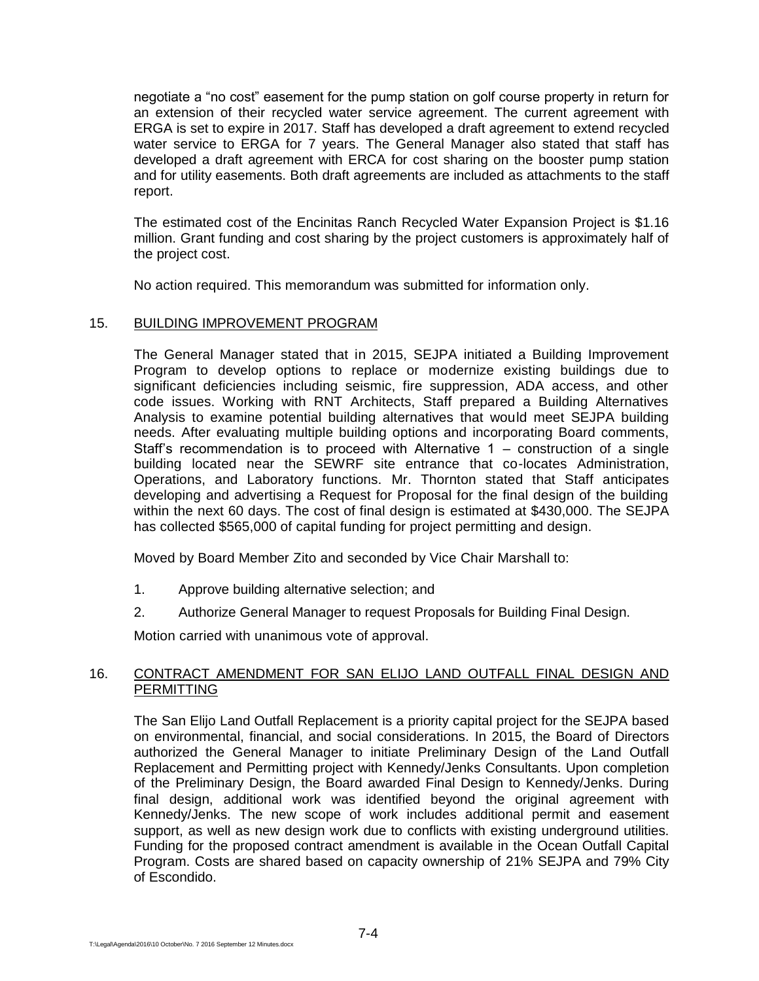negotiate a "no cost" easement for the pump station on golf course property in return for an extension of their recycled water service agreement. The current agreement with ERGA is set to expire in 2017. Staff has developed a draft agreement to extend recycled water service to ERGA for 7 years. The General Manager also stated that staff has developed a draft agreement with ERCA for cost sharing on the booster pump station and for utility easements. Both draft agreements are included as attachments to the staff report.

The estimated cost of the Encinitas Ranch Recycled Water Expansion Project is \$1.16 million. Grant funding and cost sharing by the project customers is approximately half of the project cost.

No action required. This memorandum was submitted for information only.

# 15. BUILDING IMPROVEMENT PROGRAM

The General Manager stated that in 2015, SEJPA initiated a Building Improvement Program to develop options to replace or modernize existing buildings due to significant deficiencies including seismic, fire suppression, ADA access, and other code issues. Working with RNT Architects, Staff prepared a Building Alternatives Analysis to examine potential building alternatives that would meet SEJPA building needs. After evaluating multiple building options and incorporating Board comments, Staff's recommendation is to proceed with Alternative 1 – construction of a single building located near the SEWRF site entrance that co-locates Administration, Operations, and Laboratory functions. Mr. Thornton stated that Staff anticipates developing and advertising a Request for Proposal for the final design of the building within the next 60 days. The cost of final design is estimated at \$430,000. The SEJPA has collected \$565,000 of capital funding for project permitting and design.

Moved by Board Member Zito and seconded by Vice Chair Marshall to:

- 1. Approve building alternative selection; and
- 2. Authorize General Manager to request Proposals for Building Final Design.

Motion carried with unanimous vote of approval.

# 16. CONTRACT AMENDMENT FOR SAN ELIJO LAND OUTFALL FINAL DESIGN AND PERMITTING

The San Elijo Land Outfall Replacement is a priority capital project for the SEJPA based on environmental, financial, and social considerations. In 2015, the Board of Directors authorized the General Manager to initiate Preliminary Design of the Land Outfall Replacement and Permitting project with Kennedy/Jenks Consultants. Upon completion of the Preliminary Design, the Board awarded Final Design to Kennedy/Jenks. During final design, additional work was identified beyond the original agreement with Kennedy/Jenks. The new scope of work includes additional permit and easement support, as well as new design work due to conflicts with existing underground utilities. Funding for the proposed contract amendment is available in the Ocean Outfall Capital Program. Costs are shared based on capacity ownership of 21% SEJPA and 79% City of Escondido.